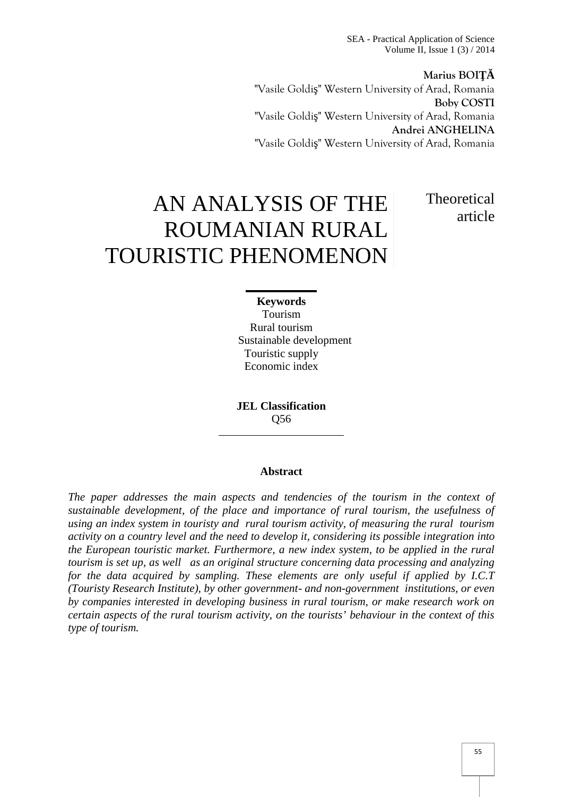SEA - Practical Application of Science Volume II, Issue 1 (3) / 2014

**Marius BOI** "Vasile Goldi " Western University of Arad, Romania **Boby COSTI** "Vasile Goldi " Western University of Arad, Romania **Andrei ANGHELINA** "Vasile Goldi " Western University of Arad, Romania

AN ANALYSIS OF THE ROUMANIAN RURAL TOURISTIC PHENOMENON **Theoretical** article

### **Keywords**

Tourism Rural tourism Sustainable development Touristic supply Economic index

**JEL Classification** Q56

#### **Abstract**

*The paper addresses the main aspects and tendencies of the tourism in the context of sustainable development, of the place and importance of rural tourism, the usefulness of using an index system in touristy and rural tourism activity, of measuring the rural tourism activity on a country level and the need to develop it, considering its possible integration into the European touristic market. Furthermore, a new index system, to be applied in the rural tourism is set up, as well as an original structure concerning data processing and analyzing for the data acquired by sampling. These elements are only useful if applied by I.C.T (Touristy Research Institute), by other government- and non-government institutions, or even by companies interested in developing business in rural tourism, or make research work on certain aspects of the rural tourism activity, on the tourists' behaviour in the context of this type of tourism.*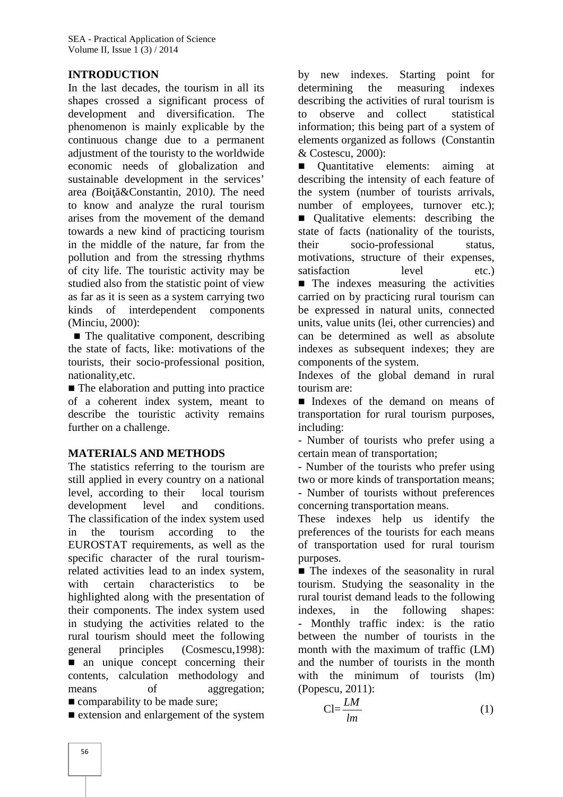# **INTRODUCTION**

In the last decades, the tourism in all its shapes crossed a significant process of development and diversification. The phenomenon is mainly explicable by the continuous change due to a permanent adjustment of the touristy to the worldwide economic needs of globalization and sustainable development in the services' area *(Boi &Constantin, 2010)*. The need to know and analyze the rural tourism arises from the movement of the demand towards a new kind of practicing tourism in the middle of the nature, far from the pollution and from the stressing rhythms of city life. The touristic activity may be studied also from the statistic point of view as far as it is seen as a system carrying two kinds of interdependent components (Minciu, 2000):

The qualitative component, describing the state of facts, like: motivations of the tourists, their socio-professional position, nationality,etc.

The elaboration and putting into practice of a coherent index system, meant to describe the touristic activity remains further on a challenge.

# **MATERIALS AND METHODS**

The statistics referring to the tourism are still applied in every country on a national level, according to their local tourism development level and conditions. The classification of the index system used in the tourism according to the EUROSTAT requirements, as well as the specific character of the rural tourismrelated activities lead to an index system, with certain characteristics to be highlighted along with the presentation of their components. The index system used in studying the activities related to the rural tourism should meet the following general principles (Cosmescu,1998): an unique concept concerning their contents, calculation methodology and means of aggregation; comparability to be made sure;

extension and enlargement of the system

by new indexes. Starting point for determining the measuring indexes describing the activities of rural tourism is observe and collect statistical information; this being part of a system of elements organized as follows (Constantin & Costescu, 2000):

■ Quantitative elements: aiming at describing the intensity of each feature of the system (number of tourists arrivals, number of employees, turnover etc.);

Qualitative elements: describing the state of facts (nationality of the tourists, socio-professional status, motivations, structure of their expenses, satisfaction level etc.)

The indexes measuring the activities carried on by practicing rural tourism can be expressed in natural units, connected units, value units (lei, other currencies) and can be determined as well as absolute indexes as subsequent indexes; they are components of the system.

Indexes of the global demand in rural tourism are:

Indexes of the demand on means of transportation for rural tourism purposes, including:

- Number of tourists who prefer using a certain mean of transportation;

- Number of the tourists who prefer using two or more kinds of transportation means; - Number of tourists without preferences concerning transportation means.

These indexes help us identify the preferences of the tourists for each means of transportation used for rural tourism purposes.

The indexes of the seasonality in rural tourism. Studying the seasonality in the rural tourist demand leads to the following in the following shapes: - Monthly traffic index: is the ratio between the number of tourists in the month with the maximum of traffic (LM) and the number of tourists in the month with the minimum of tourists (lm) (Popescu, 2011):

$$
Cl = \frac{LM}{lm} \tag{1}
$$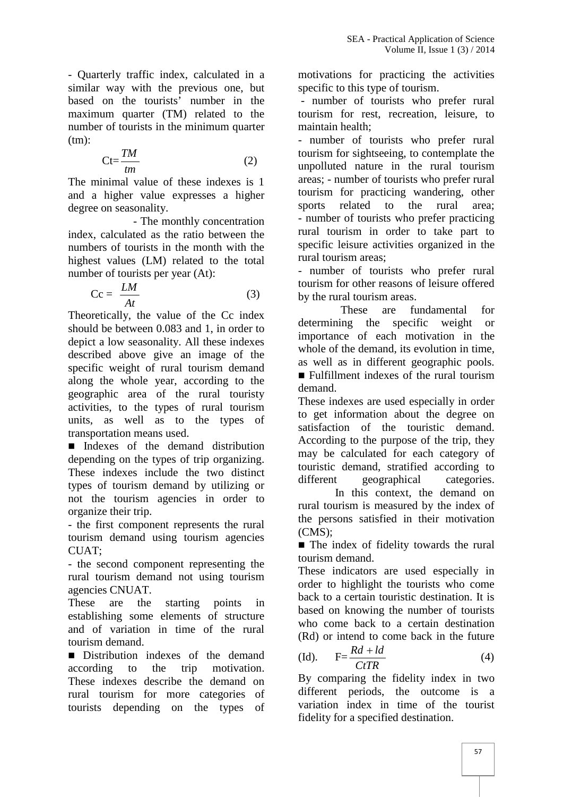- Quarterly traffic index, calculated in a similar way with the previous one, but based on the tourists' number in the maximum quarter (TM) related to the number of tourists in the minimum quarter  $(tm)$ :

$$
Ct = \frac{TM}{tm}
$$
 (2)

The minimal value of these indexes is 1 and a higher value expresses a higher degree on seasonality.

- The monthly concentration index, calculated as the ratio between the numbers of tourists in the month with the highest values (LM) related to the total number of tourists per year (At):

$$
Cc = \frac{LM}{At}
$$
 (3) fourism for other reasons of le  
by the rural tourism areas.

Theoretically, the value of the Cc index should be between 0.083 and 1, in order to depict a low seasonality. All these indexes described above give an image of the specific weight of rural tourism demand along the whole year, according to the geographic area of the rural touristy activities, to the types of rural tourism units, as well as to the types of transportation means used.

Indexes of the demand distribution depending on the types of trip organizing. These indexes include the two distinct types of tourism demand by utilizing or not the tourism agencies in order to organize their trip.

- the first component represents the rural tourism demand using tourism agencies CUAT;

- the second component representing the rural tourism demand not using tourism agencies CNUAT.

These are the starting points in establishing some elements of structure and of variation in time of the rural tourism demand.

Distribution indexes of the demand (1) according to the trip motivation. These indexes describe the demand on rural tourism for more categories of tourists depending on the types of

motivations for practicing the activities specific to this type of tourism.

- number of tourists who prefer rural tourism for rest, recreation, leisure, to maintain health;

 $\frac{dm}{dm}$  (2) unpolluted nature in the rural tourism *TM* (2) tourism for sightseeing, to contemplate the term (2) tourism for sightseeing, to contemplate the sur-- number of tourists who prefer rural areas; - number of tourists who prefer rural tourism for practicing wandering, other sports related to the rural area; - number of tourists who prefer practicing rural tourism in order to take part to specific leisure activities organized in the rural tourism areas;

- number of tourists who prefer rural tourism for other reasons of leisure offered

These are fundamental for determining the specific weight or importance of each motivation in the whole of the demand, its evolution in time, as well as in different geographic pools.

Fulfillment indexes of the rural tourism demand.

These indexes are used especially in order to get information about the degree on satisfaction of the touristic demand. According to the purpose of the trip, they may be calculated for each category of touristic demand, stratified according to different geographical categories.

In this context, the demand on rural tourism is measured by the index of the persons satisfied in their motivation (CMS);

The index of fidelity towards the rural tourism demand.

These indicators are used especially in order to highlight the tourists who come back to a certain touristic destination. It is based on knowing the number of tourists who come back to a certain destination (Rd) or intend to come back in the future

$$
\text{(Id)}.\qquad \mathbf{F} = \frac{Rd + ld}{C tTR} \tag{4}
$$

By comparing the fidelity index in two different periods, the outcome is a variation index in time of the tourist fidelity for a specified destination.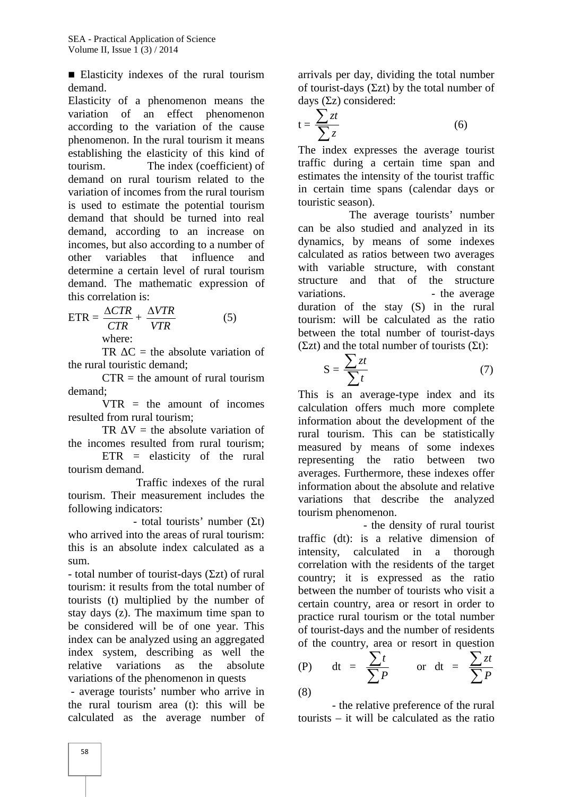Elasticity indexes of the rural tourism demand.

Elasticity of a phenomenon means the variation of an effect phenomenon according to the variation of the cause phenomenon. In the rural tourism it means establishing the elasticity of this kind of tourism. The index (coefficient) of demand on rural tourism related to the variation of incomes from the rural tourism is used to estimate the potential tourism demand that should be turned into real demand, according to an increase on incomes, but also according to a number of other variables that influence and determine a certain level of rural tourism demand. The mathematic expression of this correlation is:

$$
ETR = \frac{\Delta CTR}{CTR} + \frac{\Delta VTR}{VTR}
$$
 (5) duration  
where: better (1) and

 $TR$   $C$  = the absolute variation of the rural touristic demand;

 $CTR = the amount of rural tourism$ demand;

 $VTR = the amount of incomes$ resulted from rural tourism;

 $TR$  V = the absolute variation of the incomes resulted from rural tourism;

ETR = elasticity of the rural tourism demand.

Traffic indexes of the rural tourism. Their measurement includes the following indicators:

 $-$  total tourists' number  $( )$ who arrived into the areas of rural tourism: this is an absolute index calculated as a sum.

- total number of tourist-days (zt) of rural tourism: it results from the total number of tourists (t) multiplied by the number of stay days (z). The maximum time span to be considered will be of one year. This index can be analyzed using an aggregated index system, describing as well the relative variations as the absolute variations of the phenomenon in quests

- average tourists' number who arrive in the rural tourism area (t): this will be calculated as the average number of

arrivals per day, dividing the total number of tourist-days (zt) by the total number of days  $(z)$  considered:

$$
t = \frac{\sum z t}{\sum z} \tag{6}
$$

The index expresses the average tourist traffic during a certain time span and estimates the intensity of the tourist traffic in certain time spans (calendar days or touristic season).

 $\triangle CTR$   $\triangle VTR$  duration of the stay (S) in the rural *VTR*between the total number of tourist-days  $\frac{\Delta VTR}{VTR}$  (5) duration of the stay (S) in the rural tourism: will be calculated as the ratio The average tourists' number can be also studied and analyzed in its dynamics, by means of some indexes calculated as ratios between two averages with variable structure, with constant structure and that of the structure variations. The average state of the average  $(zt)$  and the total number of tourists  $(t)$ :

$$
S = \frac{\sum z t}{\sum t}
$$
 (7)

This is an average-type index and its calculation offers much more complete information about the development of the rural tourism. This can be statistically measured by means of some indexes representing the ratio between two averages. Furthermore, these indexes offer information about the absolute and relative variations that describe the analyzed tourism phenomenon.

- the density of rural tourist traffic (dt): is a relative dimension of intensity, calculated in a thorough correlation with the residents of the target country; it is expressed as the ratio between the number of tourists who visit a certain country, area or resort in order to practice rural tourism or the total number of tourist-days and the number of residents of the country, area or resort in question

(P) dt = 
$$
\frac{\sum t}{\sum P}
$$
 or dt =  $\frac{\sum zt}{\sum P}$ 

- the relative preference of the rural tourists – it will be calculated as the ratio